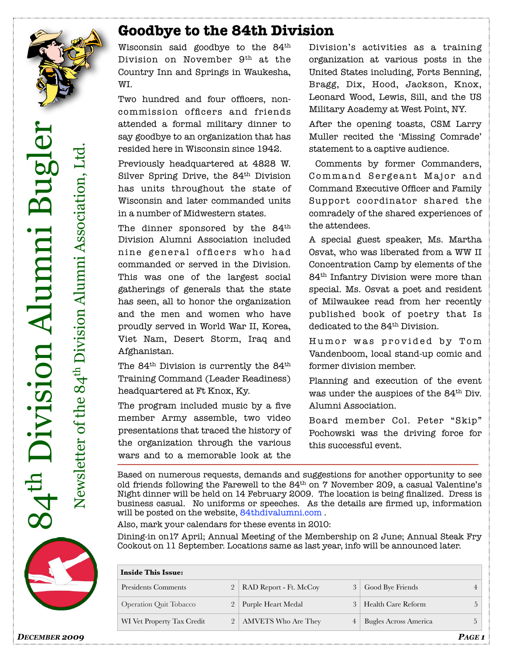

#### **Goodbye to the 84th Division**

Wisconsin said goodbye to the  $84^{\rm th}$ Division on November 9<sup>th</sup> at the Country Inn and Springs in Waukesha, WI.

Two hundred and four officers, noncommission officers and friends attended a formal military dinner to say goodbye to an organization that has resided here in Wisconsin since 1942.

Previously headquartered at 4828 W. Silver Spring Drive, the 84<sup>th</sup> Division has units throughout the state of Wisconsin and later commanded units in a number of Midwestern states.

The dinner sponsored by the  $84<sup>th</sup>$ Division Alumni Association included nine general officers who had commanded or served in the Division. This was one of the largest social gatherings of generals that the state has seen, all to honor the organization and the men and women who have proudly served in World War II, Korea, Viet Nam, Desert Storm, Iraq and Afghanistan.

The 84<sup>th</sup> Division is currently the 84<sup>th</sup> Training Command (Leader Readiness) headquartered at Ft Knox, Ky.

The program included music by a five member Army assemble, two video presentations that traced the history of the organization through the various wars and to a memorable look at the

Division's activities as a training organization at various posts in the United States including, Forts Benning, Bragg, Dix, Hood, Jackson, Knox, Leonard Wood, Lewis, Sill, and the US Military Academy at West Point, NY.

After the opening toasts, CSM Larry Muller recited the 'Missing Comrade' statement to a captive audience.

 Comments by former Commanders, Command Sergeant Major and Command Executive Officer and Family Support coordinator shared the comradely of the shared experiences of the attendees.

A special guest speaker, Ms. Martha Osvat, who was liberated from a WW II Concentration Camp by elements of the 84th Infantry Division were more than special. Ms. Osvat a poet and resident of Milwaukee read from her recently published book of poetry that Is dedicated to the 84<sup>th</sup> Division.

Humor was provided by Tom Vandenboom, local stand-up comic and former division member.

Planning and execution of the event was under the auspices of the 84th Div. Alumni Association.

Board member Col. Peter "Skip" Pochowski was the driving force for this successful event.

Based on numerous requests, demands and suggestions for another opportunity to see old friends following the Farewell to the  $84^{\text{th}}$  on  $7$  November 209, a casual Valentine's Night dinner will be held on 14 February 2009. The location is being finalized. Dress is business casual. No uniforms or speeches. As the details are firmed up, information will be posted on the website, [84thdivalumni.com .](http://84thdivalumni.com/)

Also, mark your calendars for these events in 2010:

Dining-in on17 April; Annual Meeting of the Membership on 2 June; Annual Steak Fry Cookout on 11 September. Locations same as last year, info will be announced later.

| <b>Inside This Issue:</b>     |                |                                         |                              |  |  |
|-------------------------------|----------------|-----------------------------------------|------------------------------|--|--|
| Presidents Comments           |                | RAD Report - Ft. McCoy<br>$\mathcal{E}$ | Good Bye Friends             |  |  |
| <b>Operation Quit Tobacco</b> |                | Purple Heart Medal                      | Health Care Reform           |  |  |
| WI Vet Property Tax Credit    | 2 <sub>1</sub> | AMVETS Who Are They<br>4                | <b>Bugles Across America</b> |  |  |

84th Division Alumni Bugler Division Alumni Bugle Newsletter of the 84th Division Alumni Association, Ltd. Newsletter of the 84<sup>th</sup> Division Alumni Association

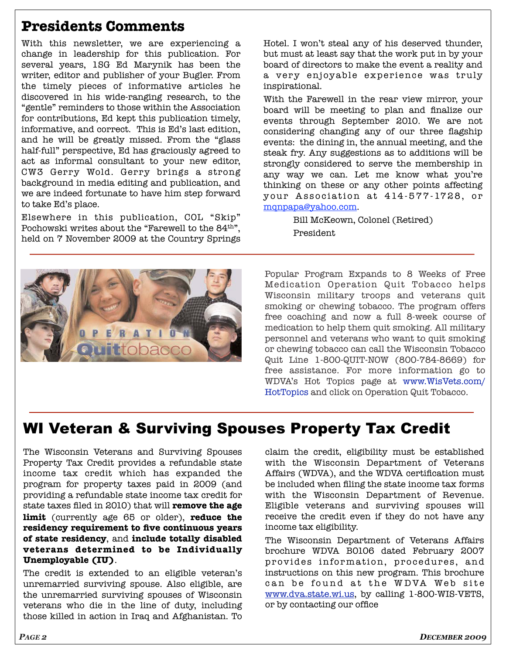## **Presidents Comments**

With this newsletter, we are experiencing a change in leadership for this publication. For several years, 1SG Ed Marynik has been the writer, editor and publisher of your Bugler. From the timely pieces of informative articles he discovered in his wide-ranging research, to the "gentle" reminders to those within the Association for contributions, Ed kept this publication timely, informative, and correct. This is Ed's last edition, and he will be greatly missed. From the "glass half-full" perspective, Ed has graciously agreed to act as informal consultant to your new editor, CW3 Gerry Wold. Gerry brings a strong background in media editing and publication, and we are indeed fortunate to have him step forward to take Ed's place.

Elsewhere in this publication, COL "Skip" Pochowski writes about the "Farewell to the 84<sup>th</sup>". held on 7 November 2009 at the Country Springs Hotel. I won't steal any of his deserved thunder, but must at least say that the work put in by your board of directors to make the event a reality and a very enjoyable experience was truly inspirational.

With the Farewell in the rear view mirror, your board will be meeting to plan and finalize our events through September 2010. We are not considering changing any of our three flagship events: the dining in, the annual meeting, and the steak fry. Any suggestions as to additions will be strongly considered to serve the membership in any way we can. Let me know what you're thinking on these or any other points affecting your Association at 414-577-1728, or [mqnpapa@yahoo.com.](mailto:mqnpapa@yahoo.com)

> Bill McKeown, Colonel (Retired) President



Popular Program Expands to 8 Weeks of Free Medication Operation Quit Tobacco helps Wisconsin military troops and veterans quit smoking or chewing tobacco. The program offers free coaching and now a full 8-week course of medication to help them quit smoking. All military personnel and veterans who want to quit smoking or chewing tobacco can call the Wisconsin Tobacco Quit Line 1-800-QUIT-NOW (800-784-8669) for free assistance. For more information go to WDVA's Hot Topics page at www.WisVets.com/ HotTopics and click on Operation Quit Tobacco.

## WI Veteran & Surviving Spouses Property Tax Credit

The Wisconsin Veterans and Surviving Spouses Property Tax Credit provides a refundable state income tax credit which has expanded the program for property taxes paid in 2009 (and providing a refundable state income tax credit for state taxes filed in 2010) that will **remove the age limit** (currently age 65 or older), **reduce the residency requirement to five continuous years of state residency**, and **include totally disabled veterans determined to be Individually Unemployable (IU)**.

The credit is extended to an eligible veteran's unremarried surviving spouse. Also eligible, are the unremarried surviving spouses of Wisconsin veterans who die in the line of duty, including those killed in action in Iraq and Afghanistan. To

claim the credit, eligibility must be established with the Wisconsin Department of Veterans Affairs (WDVA), and the WDVA certification must be included when filing the state income tax forms with the Wisconsin Department of Revenue. Eligible veterans and surviving spouses will receive the credit even if they do not have any income tax eligibility.

The Wisconsin Department of Veterans Affairs brochure WDVA B0106 dated February 2007 provides information, procedures, and instructions on this new program. This brochure can be found at the WDVA Web site [www.dva.state.wi.us,](http://www.dva.state.wi.us) by calling 1-800-WIS-VETS, or by contacting our office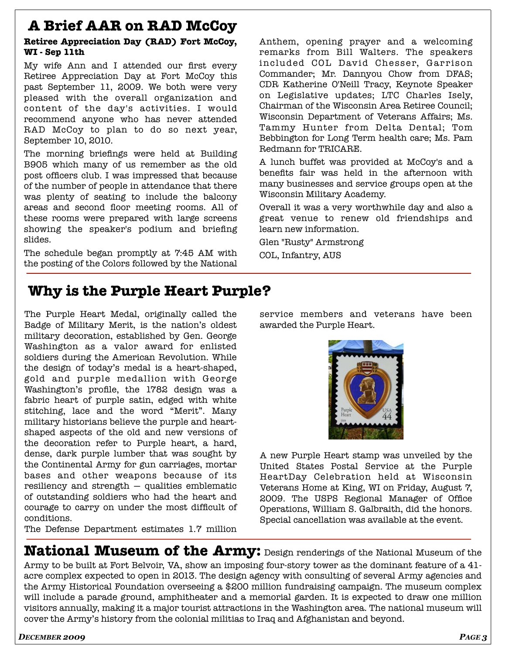# **A Brief AAR on RAD McCoy**

#### **Retiree Appreciation Day (RAD) Fort McCoy, WI - Sep 11th**

My wife Ann and I attended our first every Retiree Appreciation Day at Fort McCoy this past September 11, 2009. We both were very pleased with the overall organization and content of the day's activities. I would recommend anyone who has never attended RAD McCoy to plan to do so next year, September 10, 2010.

The morning briefings were held at Building B905 which many of us remember as the old post officers club. I was impressed that because of the number of people in attendance that there was plenty of seating to include the balcony areas and second floor meeting rooms. All of these rooms were prepared with large screens showing the speaker's podium and briefing slides.

The schedule began promptly at 7:45 AM with the posting of the Colors followed by the National

Anthem, opening prayer and a welcoming remarks from Bill Walters. The speakers included COL David Chesser, Garrison Commander; Mr. Dannyou Chow from DFAS; CDR Katherine O'Neill Tracy, Keynote Speaker on Legislative updates; LTC Charles Isely, Chairman of the Wisconsin Area Retiree Council; Wisconsin Department of Veterans Affairs; Ms. Tammy Hunter from Delta Dental; Tom Bebbington for Long Term health care; Ms. Pam Redmann for TRICARE.

A lunch buffet was provided at McCoy's and a benefits fair was held in the afternoon with many businesses and service groups open at the Wisconsin Military Academy.

Overall it was a very worthwhile day and also a great venue to renew old friendships and learn new information.

Glen "Rusty" Armstrong

COL, Infantry, AUS

# **Why is the Purple Heart Purple?**

The Purple Heart Medal, originally called the Badge of Military Merit, is the nation's oldest military decoration, established by Gen. George Washington as a valor award for enlisted soldiers during the American Revolution. While the design of today's medal is a heart-shaped, gold and purple medallion with George Washington's profile, the 1782 design was a fabric heart of purple satin, edged with white stitching, lace and the word "Merit". Many military historians believe the purple and heartshaped aspects of the old and new versions of the decoration refer to Purple heart, a hard, dense, dark purple lumber that was sought by the Continental Army for gun carriages, mortar bases and other weapons because of its resiliency and strength — qualities emblematic of outstanding soldiers who had the heart and courage to carry on under the most difficult of conditions.

The Defense Department estimates 1.7 million

service members and veterans have been awarded the Purple Heart.



A new Purple Heart stamp was unveiled by the United States Postal Service at the Purple HeartDay Celebration held at Wisconsin Veterans Home at King, WI on Friday, August 7, 2009. The USPS Regional Manager of Office Operations, William S. Galbraith, did the honors. Special cancellation was available at the event.

**National Museum of the Army:** Design renderings of the National Museum of the Army to be built at Fort Belvoir, VA, show an imposing four-story tower as the dominant feature of a 41 acre complex expected to open in 2013. The design agency with consulting of several Army agencies and the Army Historical Foundation overseeing a \$200 million fundraising campaign. The museum complex will include a parade ground, amphitheater and a memorial garden. It is expected to draw one million visitors annually, making it a major tourist attractions in the Washington area. The national museum will cover the Army's history from the colonial militias to Iraq and Afghanistan and beyond.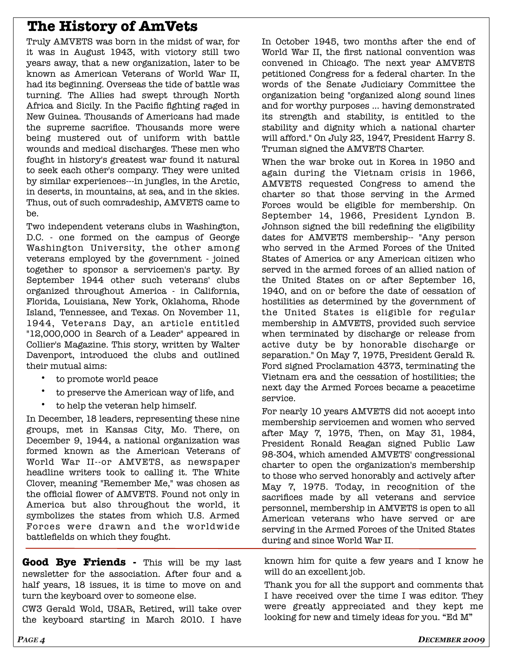## **The History of AmVets**

Truly AMVETS was born in the midst of war, for it was in August 1943, with victory still two years away, that a new organization, later to be known as American Veterans of World War II, had its beginning. Overseas the tide of battle was turning. The Allies had swept through North Africa and Sicily. In the Pacific fighting raged in New Guinea. Thousands of Americans had made the supreme sacrifice. Thousands more were being mustered out of uniform with battle wounds and medical discharges. These men who fought in history's greatest war found it natural to seek each other's company. They were united by similar experiences---in jungles, in the Arctic, in deserts, in mountains, at sea, and in the skies. Thus, out of such comradeship, AMVETS came to be.

Two independent veterans clubs in Washington, D.C. - one formed on the campus of George Washington University, the other among veterans employed by the government - joined together to sponsor a servicemen's party. By September 1944 other such veterans' clubs organized throughout America - in California, Florida, Louisiana, New York, Oklahoma, Rhode Island, Tennessee, and Texas. On November 11, 1944, Veterans Day, an article entitled "12,000,000 in Search of a Leader" appeared in Collier's Magazine. This story, written by Walter Davenport, introduced the clubs and outlined their mutual aims:

- to promote world peace
- to preserve the American way of life, and
- to help the veteran help himself.

In December, 18 leaders, representing these nine groups, met in Kansas City, Mo. There, on December 9, 1944, a national organization was formed known as the American Veterans of World War II--or AMVETS, as newspaper headline writers took to calling it. The White Clover, meaning "Remember Me," was chosen as the official flower of AMVETS. Found not only in America but also throughout the world, it symbolizes the states from which U.S. Armed Forces were drawn and the worldwide battlefields on which they fought.

**Good Bye Friends -** This will be my last newsletter for the association. After four and a half years, 18 issues, it is time to move on and turn the keyboard over to someone else.

CW3 Gerald Wold, USAR, Retired, will take over the keyboard starting in March 2010. I have In October 1945, two months after the end of World War II, the first national convention was convened in Chicago. The next year AMVETS petitioned Congress for a federal charter. In the words of the Senate Judiciary Committee the organization being "organized along sound lines and for worthy purposes ... having demonstrated its strength and stability, is entitled to the stability and dignity which a national charter will afford." On July 23, 1947, President Harry S. Truman signed the AMVETS Charter.

When the war broke out in Korea in 1950 and again during the Vietnam crisis in 1966, AMVETS requested Congress to amend the charter so that those serving in the Armed Forces would be eligible for membership. On September 14, 1966, President Lyndon B. Johnson signed the bill redefining the eligibility dates for AMVETS membership-- "Any person who served in the Armed Forces of the United States of America or any American citizen who served in the armed forces of an allied nation of the United States on or after September 16, 1940, and on or before the date of cessation of hostilities as determined by the government of the United States is eligible for regular membership in AMVETS, provided such service when terminated by discharge or release from active duty be by honorable discharge or separation." On May 7, 1975, President Gerald R. Ford signed Proclamation 4373, terminating the Vietnam era and the cessation of hostilities; the next day the Armed Forces became a peacetime service.

For nearly 10 years AMVETS did not accept into membership servicemen and women who served after May 7, 1975, Then, on May 31, 1984, President Ronald Reagan signed Public Law 98-304, which amended AMVETS' congressional charter to open the organization's membership to those who served honorably and actively after May 7, 1975. Today, in recognition of the sacrifices made by all veterans and service personnel, membership in AMVETS is open to all American veterans who have served or are serving in the Armed Forces of the United States during and since World War II.

known him for quite a few years and I know he will do an excellent job.

Thank you for all the support and comments that I have received over the time I was editor. They were greatly appreciated and they kept me looking for new and timely ideas for you. "Ed M"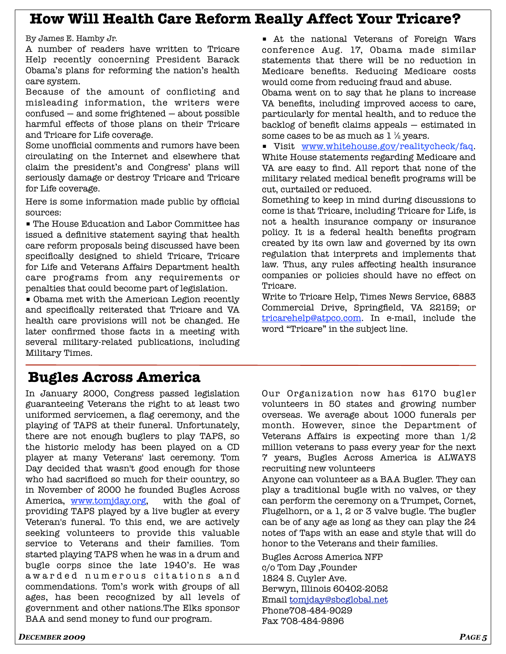#### **How Will Health Care Reform Really Affect Your Tricare?**

By James E. Hamby Jr.

A number of readers have written to Tricare Help recently concerning President Barack Obama's plans for reforming the nation's health care system.

Because of the amount of conflicting and misleading information, the writers were confused — and some frightened — about possible harmful effects of those plans on their Tricare and Tricare for Life coverage.

Some unofficial comments and rumors have been circulating on the Internet and elsewhere that claim the president's and Congress' plans will seriously damage or destroy Tricare and Tricare for Life coverage.

Here is some information made public by official sources:

■ The House Education and Labor Committee has issued a definitive statement saying that health care reform proposals being discussed have been specifically designed to shield Tricare, Tricare for Life and Veterans Affairs Department health care programs from any requirements or penalties that could become part of legislation.

■ Obama met with the American Legion recently and specifically reiterated that Tricare and VA health care provisions will not be changed. He later confirmed those facts in a meeting with several military-related publications, including Military Times.

### **Bugles Across America**

In January 2000, Congress passed legislation guaranteeing Veterans the right to at least two uniformed servicemen, a flag ceremony, and the playing of TAPS at their funeral. Unfortunately, there are not enough buglers to play TAPS, so the historic melody has been played on a CD player at many Veterans' last ceremony. Tom Day decided that wasn't good enough for those who had sacrificed so much for their country, so in November of 2000 he founded Bugles Across America, [www.tomjday.org,](http://www.tomjday.org) with the goal of providing TAPS played by a live bugler at every Veteran's funeral. To this end, we are actively seeking volunteers to provide this valuable service to Veterans and their families. Tom started playing TAPS when he was in a drum and bugle corps since the late 1940's. He was aw arded numerous citations and commendations. Tom's work with groups of all ages, has been recognized by all levels of government and other nations.The Elks sponsor BAA and send money to fund our program.

■ At the national Veterans of Foreign Wars conference Aug. 17, Obama made similar statements that there will be no reduction in Medicare benefits. Reducing Medicare costs would come from reducing fraud and abuse.

Obama went on to say that he plans to increase VA benefits, including improved access to care, particularly for mental health, and to reduce the backlog of benefit claims appeals — estimated in some cases to be as much as  $1 \frac{1}{2}$  years.

■ Visit [www.whitehouse.gov/](http://www.whitehouse.gov)realitycheck/faq. White House statements regarding Medicare and VA are easy to find. All report that none of the military related medical benefit programs will be cut, curtailed or reduced.

Something to keep in mind during discussions to come is that Tricare, including Tricare for Life, is not a health insurance company or insurance policy. It is a federal health benefits program created by its own law and governed by its own regulation that interprets and implements that law. Thus, any rules affecting health insurance companies or policies should have no effect on Tricare.

Write to Tricare Help, Times News Service, 6883 Commercial Drive, Springfield, VA 22159; or [tricarehelp@atpco.com.](mailto:tricarehelp@atpco.com) In e-mail, include the word "Tricare" in the subject line.

Our Organization now has 6170 bugler volunteers in 50 states and growing number overseas. We average about 1000 funerals per month. However, since the Department of Veterans Affairs is expecting more than 1/2 million veterans to pass every year for the next 7 years, Bugles Across America is ALWAYS recruiting new volunteers

Anyone can volunteer as a BAA Bugler. They can play a traditional bugle with no valves, or they can perform the ceremony on a Trumpet, Cornet, Flugelhorn, or a 1, 2 or 3 valve bugle. The bugler can be of any age as long as they can play the 24 notes of Taps with an ease and style that will do honor to the Veterans and their families.

Bugles Across America NFP c/o Tom Day ,Founder 1824 S. Cuyler Ave. Berwyn, Illinois 60402-2052 Email [tomjday@sbcglobal.net](mailto:tomjday@sbcglobal.net) Phone708-484-9029 Fax 708-484-9896